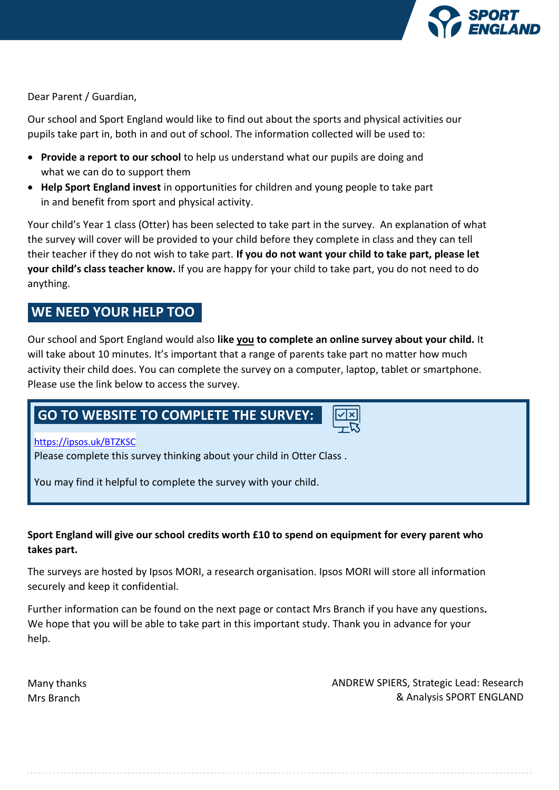

Dear Parent / Guardian,

Our school and Sport England would like to find out about the sports and physical activities our pupils take part in, both in and out of school. The information collected will be used to:

- **Provide a report to our school** to help us understand what our pupils are doing and what we can do to support them
- **Help Sport England invest** in opportunities for children and young people to take part in and benefit from sport and physical activity.

Your child's Year 1 class (Otter) has been selected to take part in the survey. An explanation of what the survey will cover will be provided to your child before they complete in class and they can tell their teacher if they do not wish to take part. **If you do not want your child to take part, please let your child's class teacher know.** If you are happy for your child to take part, you do not need to do anything.

# **WE NEED YOUR HELP TOO**

Our school and Sport England would also **like you to complete an online survey about your child.** It will take about 10 minutes. It's important that a range of parents take part no matter how much activity their child does. You can complete the survey on a computer, laptop, tablet or smartphone. Please use the link below to access the survey.

# **GO TO WEBSITE TO COMPLETE THE SURVEY:**

# https://ipsos.uk/BTZKSC

Please complete this survey thinking about your child in Otter Class .

You may find it helpful to complete the survey with your child.

# **Sport England will give our school credits worth £10 to spend on equipment for every parent who takes part.**

The surveys are hosted by Ipsos MORI, a research organisation. Ipsos MORI will store all information securely and keep it confidential.

Further information can be found on the next page or contact Mrs Branch if you have any questions**.**  We hope that you will be able to take part in this important study. Thank you in advance for your help.

Many thanks Mrs Branch

ANDREW SPIERS, Strategic Lead: Research & Analysis SPORT ENGLAND